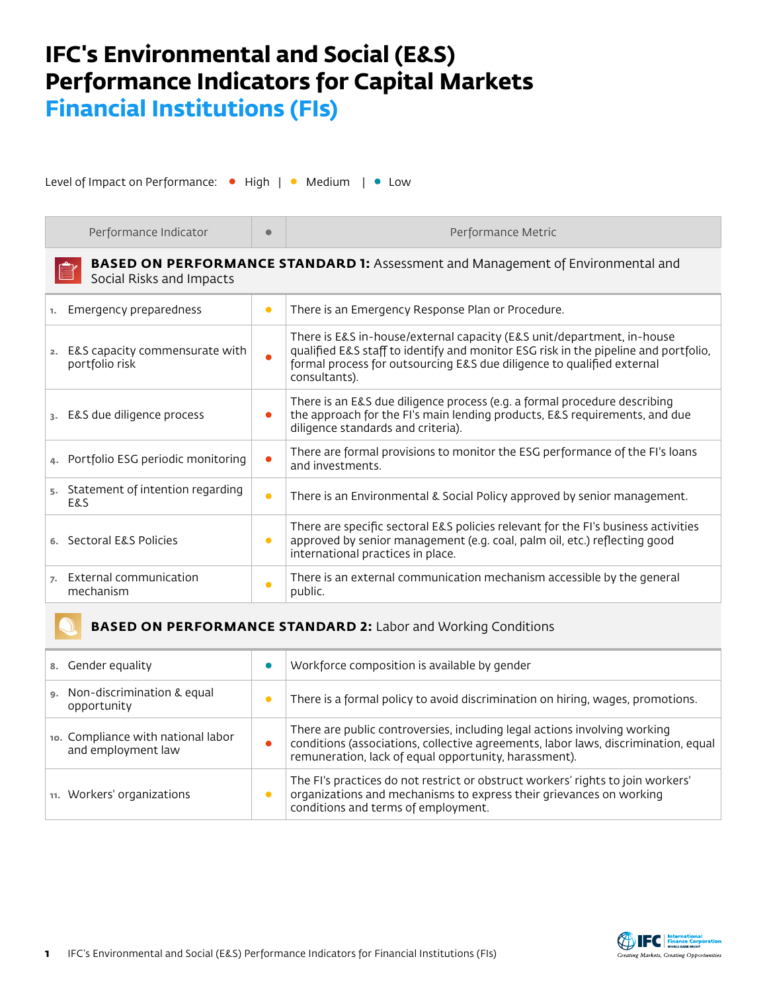## **IFC's Environmental and Social (E&S) Performance Indicators for Capital Markets Financial Institutions (FIs)**

Level of Impact on Performance: • High | • Medium | • Low

| Performance Indicator                                                                                              | $\bullet$ | Performance Metric                                                                                                                                                                                                                                       |  |  |
|--------------------------------------------------------------------------------------------------------------------|-----------|----------------------------------------------------------------------------------------------------------------------------------------------------------------------------------------------------------------------------------------------------------|--|--|
| <b>BASED ON PERFORMANCE STANDARD 1:</b> Assessment and Management of Environmental and<br>Social Risks and Impacts |           |                                                                                                                                                                                                                                                          |  |  |
| Emergency preparedness<br>$\mathbf{L}$                                                                             | $\bullet$ | There is an Emergency Response Plan or Procedure.                                                                                                                                                                                                        |  |  |
| 2. E&S capacity commensurate with<br>portfolio risk                                                                |           | There is E&S in-house/external capacity (E&S unit/department, in-house<br>qualified E&S staff to identify and monitor ESG risk in the pipeline and portfolio,<br>formal process for outsourcing E&S due diligence to qualified external<br>consultants). |  |  |
| 3. E&S due diligence process                                                                                       |           | There is an E&S due diligence process (e.g. a formal procedure describing<br>the approach for the FI's main lending products, E&S requirements, and due<br>diligence standards and criteria).                                                            |  |  |
| Portfolio ESG periodic monitoring                                                                                  |           | There are formal provisions to monitor the ESG performance of the FI's loans<br>and investments.                                                                                                                                                         |  |  |
| Statement of intention regarding<br>5.<br><b>E&amp;S</b>                                                           | $\bullet$ | There is an Environmental & Social Policy approved by senior management.                                                                                                                                                                                 |  |  |
| 6. Sectoral E&S Policies                                                                                           | $\bullet$ | There are specific sectoral E&S policies relevant for the FI's business activities<br>approved by senior management (e.g. coal, palm oil, etc.) reflecting good<br>international practices in place.                                                     |  |  |
| External communication<br>$\overline{z}$ .<br>mechanism                                                            | $\bullet$ | There is an external communication mechanism accessible by the general<br>public.                                                                                                                                                                        |  |  |

## **BASED ON PERFORMANCE STANDARD 2:** Labor and Working Conditions

| 8. Gender equality                                       | Workforce composition is available by gender                                                                                                                                                                             |
|----------------------------------------------------------|--------------------------------------------------------------------------------------------------------------------------------------------------------------------------------------------------------------------------|
| 9. Non-discrimination & equal<br>opportunity             | There is a formal policy to avoid discrimination on hiring, wages, promotions.                                                                                                                                           |
| 10. Compliance with national labor<br>and employment law | There are public controversies, including legal actions involving working<br>conditions (associations, collective agreements, labor laws, discrimination, equal<br>remuneration, lack of equal opportunity, harassment). |
| 11. Workers' organizations                               | The FI's practices do not restrict or obstruct workers' rights to join workers'<br>organizations and mechanisms to express their grievances on working<br>conditions and terms of employment.                            |